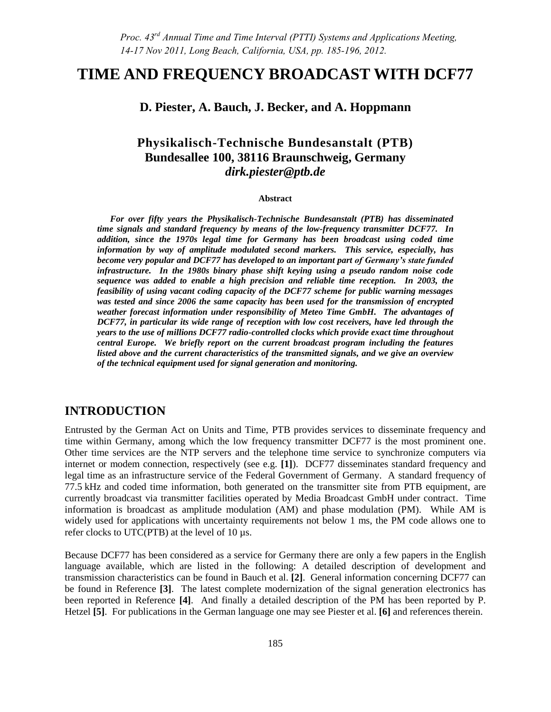# **TIME AND FREQUENCY BROADCAST WITH DCF77**

**D. Piester, A. Bauch, J. Becker, and A. Hoppmann**

## **Physikalisch-Technische Bundesanstalt (PTB) Bundesallee 100, 38116 Braunschweig, Germany**  *dirk.piester@ptb.de*

#### **Abstract**

*For over fifty years the Physikalisch-Technische Bundesanstalt (PTB) has disseminated time signals and standard frequency by means of the low-frequency transmitter DCF77. In addition, since the 1970s legal time for Germany has been broadcast using coded time information by way of amplitude modulated second markers. This service, especially, has become very popular and DCF77 has developed to an important part of Germany's state funded infrastructure. In the 1980s binary phase shift keying using a pseudo random noise code sequence was added to enable a high precision and reliable time reception. In 2003, the feasibility of using vacant coding capacity of the DCF77 scheme for public warning messages was tested and since 2006 the same capacity has been used for the transmission of encrypted weather forecast information under responsibility of Meteo Time GmbH. The advantages of DCF77, in particular its wide range of reception with low cost receivers, have led through the years to the use of millions DCF77 radio-controlled clocks which provide exact time throughout central Europe. We briefly report on the current broadcast program including the features listed above and the current characteristics of the transmitted signals, and we give an overview of the technical equipment used for signal generation and monitoring.* 

#### **INTRODUCTION**

Entrusted by the German Act on Units and Time, PTB provides services to disseminate frequency and time within Germany, among which the low frequency transmitter DCF77 is the most prominent one. Other time services are the NTP servers and the telephone time service to synchronize computers via internet or modem connection, respectively (see e.g. **[1]**). DCF77 disseminates standard frequency and legal time as an infrastructure service of the Federal Government of Germany. A standard frequency of 77.5 kHz and coded time information, both generated on the transmitter site from PTB equipment, are currently broadcast via transmitter facilities operated by Media Broadcast GmbH under contract. Time information is broadcast as amplitude modulation (AM) and phase modulation (PM). While AM is widely used for applications with uncertainty requirements not below 1 ms, the PM code allows one to refer clocks to UTC(PTB) at the level of 10 µs.

Because DCF77 has been considered as a service for Germany there are only a few papers in the English language available, which are listed in the following: A detailed description of development and transmission characteristics can be found in Bauch et al. **[2]**. General information concerning DCF77 can be found in Reference **[3]**. The latest complete modernization of the signal generation electronics has been reported in Reference **[4]**. And finally a detailed description of the PM has been reported by P. Hetzel **[5]**. For publications in the German language one may see Piester et al. **[6]** and references therein.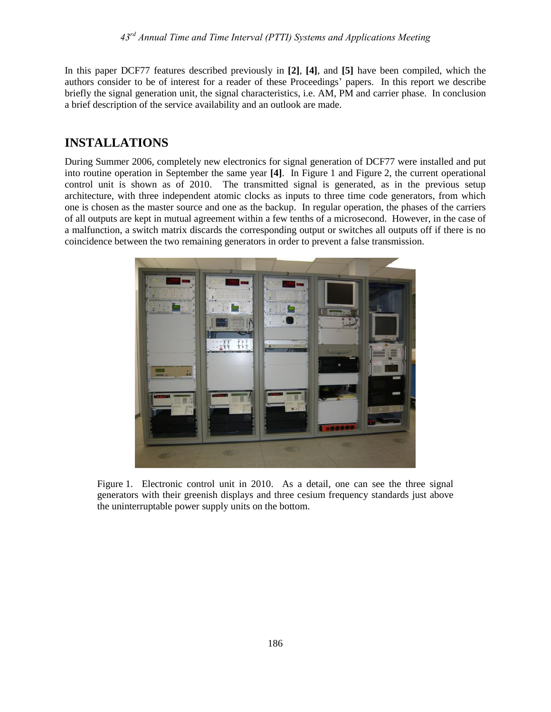In this paper DCF77 features described previously in **[2]**, **[4]**, and **[5]** have been compiled, which the authors consider to be of interest for a reader of these Proceedings' papers. In this report we describe briefly the signal generation unit, the signal characteristics, i.e. AM, PM and carrier phase. In conclusion a brief description of the service availability and an outlook are made.

# **INSTALLATIONS**

During Summer 2006, completely new electronics for signal generation of DCF77 were installed and put into routine operation in September the same year **[4]**. In Figure 1 and Figure 2, the current operational control unit is shown as of 2010. The transmitted signal is generated, as in the previous setup architecture, with three independent atomic clocks as inputs to three time code generators, from which one is chosen as the master source and one as the backup. In regular operation, the phases of the carriers of all outputs are kept in mutual agreement within a few tenths of a microsecond. However, in the case of a malfunction, a switch matrix discards the corresponding output or switches all outputs off if there is no coincidence between the two remaining generators in order to prevent a false transmission.



Figure 1. Electronic control unit in 2010. As a detail, one can see the three signal generators with their greenish displays and three cesium frequency standards just above the uninterruptable power supply units on the bottom.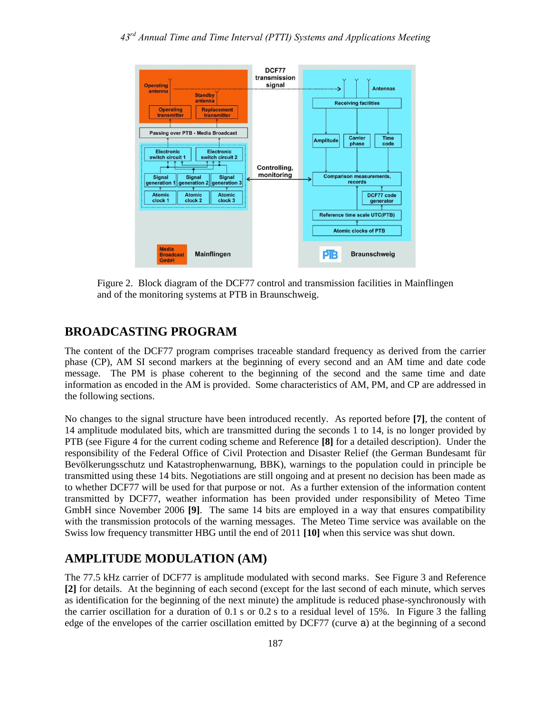

Figure 2. Block diagram of the DCF77 control and transmission facilities in Mainflingen and of the monitoring systems at PTB in Braunschweig.

#### **BROADCASTING PROGRAM**

The content of the DCF77 program comprises traceable standard frequency as derived from the carrier phase (CP), AM SI second markers at the beginning of every second and an AM time and date code message. The PM is phase coherent to the beginning of the second and the same time and date information as encoded in the AM is provided. Some characteristics of AM, PM, and CP are addressed in the following sections.

No changes to the signal structure have been introduced recently. As reported before **[7]**, the content of 14 amplitude modulated bits, which are transmitted during the seconds 1 to 14, is no longer provided by PTB (see Figure 4 for the current coding scheme and Reference **[8]** for a detailed description). Under the responsibility of the Federal Office of Civil Protection and Disaster Relief (the German Bundesamt für Bevölkerungsschutz und Katastrophenwarnung, BBK), warnings to the population could in principle be transmitted using these 14 bits. Negotiations are still ongoing and at present no decision has been made as to whether DCF77 will be used for that purpose or not. As a further extension of the information content transmitted by DCF77, weather information has been provided under responsibility of Meteo Time GmbH since November 2006 **[9]**. The same 14 bits are employed in a way that ensures compatibility with the transmission protocols of the warning messages. The Meteo Time service was available on the Swiss low frequency transmitter HBG until the end of 2011 **[10]** when this service was shut down.

### **AMPLITUDE MODULATION (AM)**

The 77.5 kHz carrier of DCF77 is amplitude modulated with second marks. See Figure 3 and Reference **[2]** for details. At the beginning of each second (except for the last second of each minute, which serves as identification for the beginning of the next minute) the amplitude is reduced phase-synchronously with the carrier oscillation for a duration of 0.1 s or 0.2 s to a residual level of 15%. In Figure 3 the falling edge of the envelopes of the carrier oscillation emitted by DCF77 (curve a) at the beginning of a second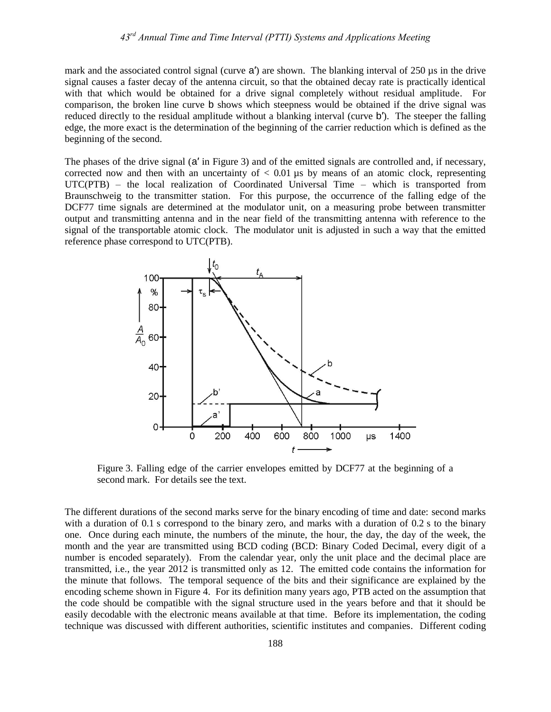mark and the associated control signal (curve a') are shown. The blanking interval of 250 µs in the drive signal causes a faster decay of the antenna circuit, so that the obtained decay rate is practically identical with that which would be obtained for a drive signal completely without residual amplitude. For comparison, the broken line curve b shows which steepness would be obtained if the drive signal was reduced directly to the residual amplitude without a blanking interval (curve b′). The steeper the falling edge, the more exact is the determination of the beginning of the carrier reduction which is defined as the beginning of the second.

The phases of the drive signal (a′ in Figure 3) and of the emitted signals are controlled and, if necessary, corrected now and then with an uncertainty of  $< 0.01$  us by means of an atomic clock, representing UTC(PTB) – the local realization of Coordinated Universal Time – which is transported from Braunschweig to the transmitter station. For this purpose, the occurrence of the falling edge of the DCF77 time signals are determined at the modulator unit, on a measuring probe between transmitter output and transmitting antenna and in the near field of the transmitting antenna with reference to the signal of the transportable atomic clock. The modulator unit is adjusted in such a way that the emitted reference phase correspond to UTC(PTB).



Figure 3. Falling edge of the carrier envelopes emitted by DCF77 at the beginning of a second mark. For details see the text.

The different durations of the second marks serve for the binary encoding of time and date: second marks with a duration of 0.1 s correspond to the binary zero, and marks with a duration of 0.2 s to the binary one. Once during each minute, the numbers of the minute, the hour, the day, the day of the week, the month and the year are transmitted using BCD coding (BCD: Binary Coded Decimal, every digit of a number is encoded separately). From the calendar year, only the unit place and the decimal place are transmitted, i.e., the year 2012 is transmitted only as 12. The emitted code contains the information for the minute that follows. The temporal sequence of the bits and their significance are explained by the encoding scheme shown in Figure 4. For its definition many years ago, PTB acted on the assumption that the code should be compatible with the signal structure used in the years before and that it should be easily decodable with the electronic means available at that time. Before its implementation, the coding technique was discussed with different authorities, scientific institutes and companies. Different coding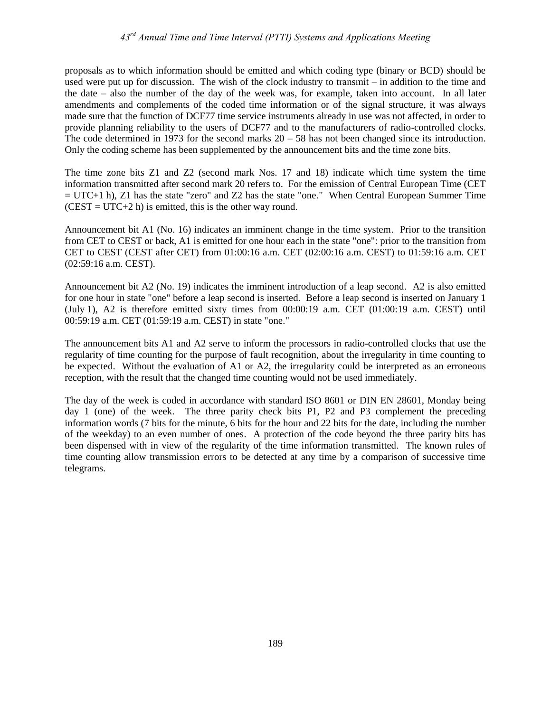proposals as to which information should be emitted and which coding type (binary or BCD) should be used were put up for discussion. The wish of the clock industry to transmit – in addition to the time and the date – also the number of the day of the week was, for example, taken into account. In all later amendments and complements of the coded time information or of the signal structure, it was always made sure that the function of DCF77 time service instruments already in use was not affected, in order to provide planning reliability to the users of DCF77 and to the manufacturers of radio-controlled clocks. The code determined in 1973 for the second marks  $20 - 58$  has not been changed since its introduction. Only the coding scheme has been supplemented by the announcement bits and the time zone bits.

The time zone bits Z1 and Z2 (second mark Nos. 17 and 18) indicate which time system the time information transmitted after second mark 20 refers to. For the emission of Central European Time (CET  $=$  UTC+1 h), Z1 has the state "zero" and Z2 has the state "one." When Central European Summer Time  $(CEST = UTC + 2 h)$  is emitted, this is the other way round.

Announcement bit A1 (No. 16) indicates an imminent change in the time system. Prior to the transition from CET to CEST or back, A1 is emitted for one hour each in the state "one": prior to the transition from CET to CEST (CEST after CET) from 01:00:16 a.m. CET (02:00:16 a.m. CEST) to 01:59:16 a.m. CET (02:59:16 a.m. CEST).

Announcement bit A2 (No. 19) indicates the imminent introduction of a leap second. A2 is also emitted for one hour in state "one" before a leap second is inserted. Before a leap second is inserted on January 1 (July 1), A2 is therefore emitted sixty times from 00:00:19 a.m. CET (01:00:19 a.m. CEST) until 00:59:19 a.m. CET (01:59:19 a.m. CEST) in state "one."

The announcement bits A1 and A2 serve to inform the processors in radio-controlled clocks that use the regularity of time counting for the purpose of fault recognition, about the irregularity in time counting to be expected. Without the evaluation of A1 or A2, the irregularity could be interpreted as an erroneous reception, with the result that the changed time counting would not be used immediately.

The day of the week is coded in accordance with standard ISO 8601 or DIN EN 28601, Monday being day 1 (one) of the week. The three parity check bits P1, P2 and P3 complement the preceding information words (7 bits for the minute, 6 bits for the hour and 22 bits for the date, including the number of the weekday) to an even number of ones. A protection of the code beyond the three parity bits has been dispensed with in view of the regularity of the time information transmitted. The known rules of time counting allow transmission errors to be detected at any time by a comparison of successive time telegrams.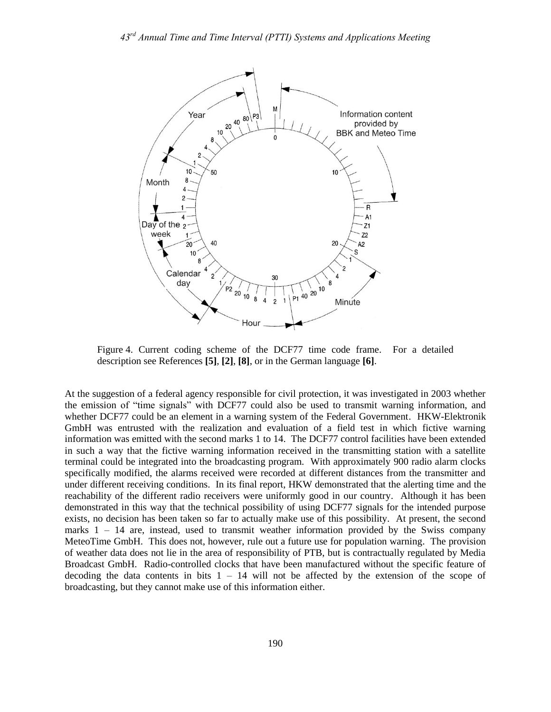

Figure 4. Current coding scheme of the DCF77 time code frame. For a detailed description see References **[5]**, **[2]**, **[8]**, or in the German language **[6]**.

At the suggestion of a federal agency responsible for civil protection, it was investigated in 2003 whether the emission of "time signals" with DCF77 could also be used to transmit warning information, and whether DCF77 could be an element in a warning system of the Federal Government. HKW-Elektronik GmbH was entrusted with the realization and evaluation of a field test in which fictive warning information was emitted with the second marks 1 to 14. The DCF77 control facilities have been extended in such a way that the fictive warning information received in the transmitting station with a satellite terminal could be integrated into the broadcasting program. With approximately 900 radio alarm clocks specifically modified, the alarms received were recorded at different distances from the transmitter and under different receiving conditions. In its final report, HKW demonstrated that the alerting time and the reachability of the different radio receivers were uniformly good in our country. Although it has been demonstrated in this way that the technical possibility of using DCF77 signals for the intended purpose exists, no decision has been taken so far to actually make use of this possibility. At present, the second marks  $1 - 14$  are, instead, used to transmit weather information provided by the Swiss company MeteoTime GmbH. This does not, however, rule out a future use for population warning. The provision of weather data does not lie in the area of responsibility of PTB, but is contractually regulated by Media Broadcast GmbH. Radio-controlled clocks that have been manufactured without the specific feature of decoding the data contents in bits  $1 - 14$  will not be affected by the extension of the scope of broadcasting, but they cannot make use of this information either.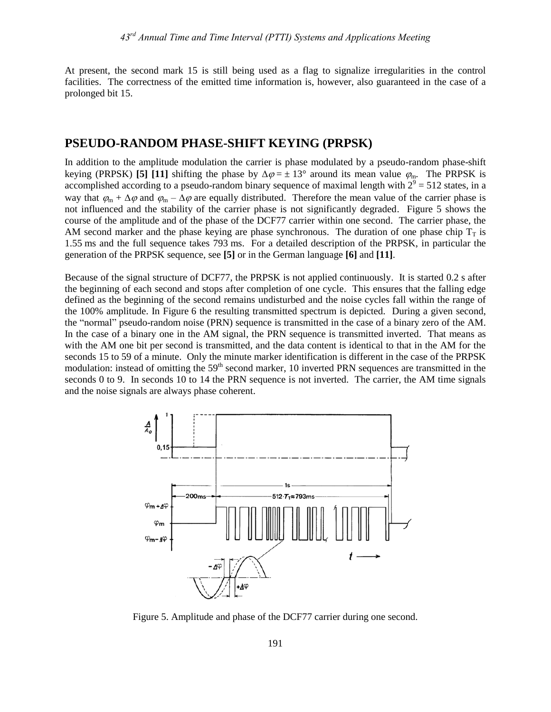At present, the second mark 15 is still being used as a flag to signalize irregularities in the control facilities. The correctness of the emitted time information is, however, also guaranteed in the case of a prolonged bit 15.

#### **PSEUDO-RANDOM PHASE-SHIFT KEYING (PRPSK)**

In addition to the amplitude modulation the carrier is phase modulated by a pseudo-random phase-shift keying (PRPSK) **[5]** [11] shifting the phase by  $\Delta \varphi = \pm 13^{\circ}$  around its mean value  $\varphi_{\rm m}$ . The PRPSK is accomplished according to a pseudo-random binary sequence of maximal length with  $2^9 = 512$  states, in a way that  $\varphi_m + \Delta \varphi$  and  $\varphi_m - \Delta \varphi$  are equally distributed. Therefore the mean value of the carrier phase is not influenced and the stability of the carrier phase is not significantly degraded. Figure 5 shows the course of the amplitude and of the phase of the DCF77 carrier within one second. The carrier phase, the AM second marker and the phase keying are phase synchronous. The duration of one phase chip  $T<sub>T</sub>$  is 1.55 ms and the full sequence takes 793 ms. For a detailed description of the PRPSK, in particular the generation of the PRPSK sequence, see **[5]** or in the German language **[6]** and **[11]**.

Because of the signal structure of DCF77, the PRPSK is not applied continuously. It is started 0.2 s after the beginning of each second and stops after completion of one cycle. This ensures that the falling edge defined as the beginning of the second remains undisturbed and the noise cycles fall within the range of the 100% amplitude. In Figure 6 the resulting transmitted spectrum is depicted. During a given second, the "normal" pseudo-random noise (PRN) sequence is transmitted in the case of a binary zero of the AM. In the case of a binary one in the AM signal, the PRN sequence is transmitted inverted. That means as with the AM one bit per second is transmitted, and the data content is identical to that in the AM for the seconds 15 to 59 of a minute. Only the minute marker identification is different in the case of the PRPSK modulation: instead of omitting the 59<sup>th</sup> second marker, 10 inverted PRN sequences are transmitted in the seconds 0 to 9. In seconds 10 to 14 the PRN sequence is not inverted. The carrier, the AM time signals and the noise signals are always phase coherent.



Figure 5. Amplitude and phase of the DCF77 carrier during one second.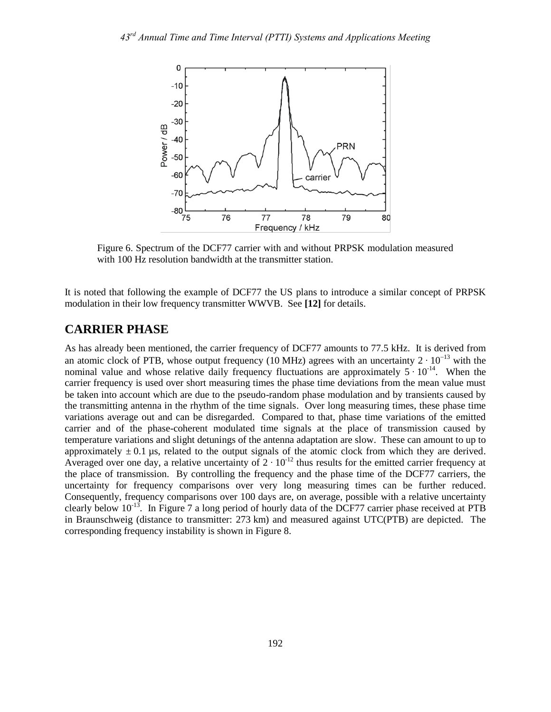

Figure 6. Spectrum of the DCF77 carrier with and without PRPSK modulation measured with 100 Hz resolution bandwidth at the transmitter station.

It is noted that following the example of DCF77 the US plans to introduce a similar concept of PRPSK modulation in their low frequency transmitter WWVB. See **[12]** for details.

#### **CARRIER PHASE**

As has already been mentioned, the carrier frequency of DCF77 amounts to 77.5 kHz. It is derived from an atomic clock of PTB, whose output frequency (10 MHz) agrees with an uncertainty  $2 \cdot 10^{-13}$  with the nominal value and whose relative daily frequency fluctuations are approximately  $5 \cdot 10^{-14}$ . When the carrier frequency is used over short measuring times the phase time deviations from the mean value must be taken into account which are due to the pseudo-random phase modulation and by transients caused by the transmitting antenna in the rhythm of the time signals. Over long measuring times, these phase time variations average out and can be disregarded. Compared to that, phase time variations of the emitted carrier and of the phase-coherent modulated time signals at the place of transmission caused by temperature variations and slight detunings of the antenna adaptation are slow. These can amount to up to approximately  $\pm 0.1$  µs, related to the output signals of the atomic clock from which they are derived. Averaged over one day, a relative uncertainty of  $2 \cdot 10^{-12}$  thus results for the emitted carrier frequency at the place of transmission. By controlling the frequency and the phase time of the DCF77 carriers, the uncertainty for frequency comparisons over very long measuring times can be further reduced. Consequently, frequency comparisons over 100 days are, on average, possible with a relative uncertainty clearly below  $10^{-13}$ . In Figure 7 a long period of hourly data of the DCF77 carrier phase received at PTB in Braunschweig (distance to transmitter: 273 km) and measured against UTC(PTB) are depicted. The corresponding frequency instability is shown in Figure 8.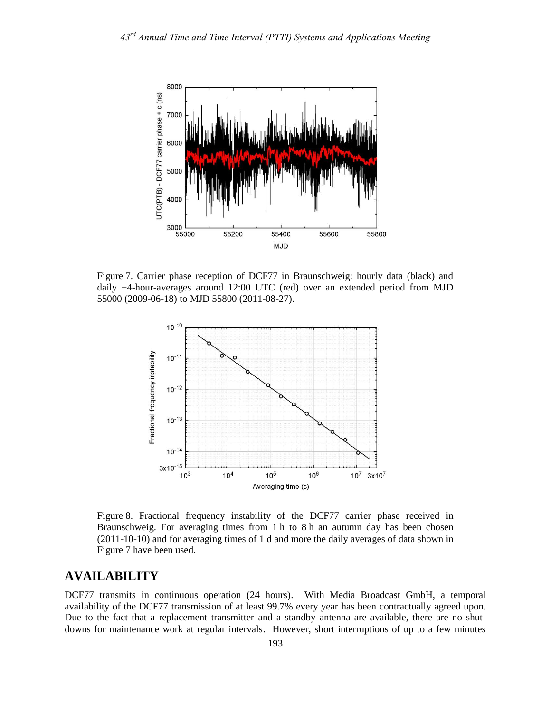

Figure 7. Carrier phase reception of DCF77 in Braunschweig: hourly data (black) and daily ±4-hour-averages around 12:00 UTC (red) over an extended period from MJD 55000 (2009-06-18) to MJD 55800 (2011-08-27).



Figure 8. Fractional frequency instability of the DCF77 carrier phase received in Braunschweig. For averaging times from 1 h to 8 h an autumn day has been chosen (2011-10-10) and for averaging times of 1 d and more the daily averages of data shown in Figure 7 have been used.

## **AVAILABILITY**

DCF77 transmits in continuous operation (24 hours). With Media Broadcast GmbH, a temporal availability of the DCF77 transmission of at least 99.7% every year has been contractually agreed upon. Due to the fact that a replacement transmitter and a standby antenna are available, there are no shutdowns for maintenance work at regular intervals. However, short interruptions of up to a few minutes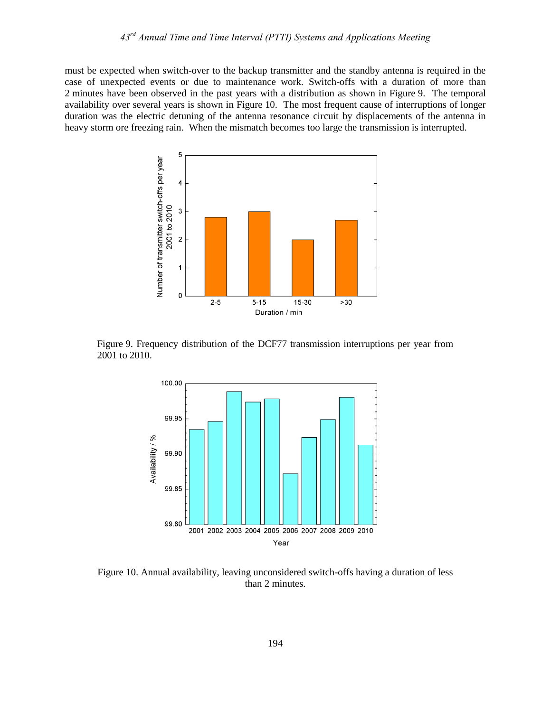must be expected when switch-over to the backup transmitter and the standby antenna is required in the case of unexpected events or due to maintenance work. Switch-offs with a duration of more than 2 minutes have been observed in the past years with a distribution as shown in Figure 9. The temporal availability over several years is shown in Figure 10. The most frequent cause of interruptions of longer duration was the electric detuning of the antenna resonance circuit by displacements of the antenna in heavy storm ore freezing rain. When the mismatch becomes too large the transmission is interrupted.



Figure 9. Frequency distribution of the DCF77 transmission interruptions per year from 2001 to 2010.



Figure 10. Annual availability, leaving unconsidered switch-offs having a duration of less than 2 minutes.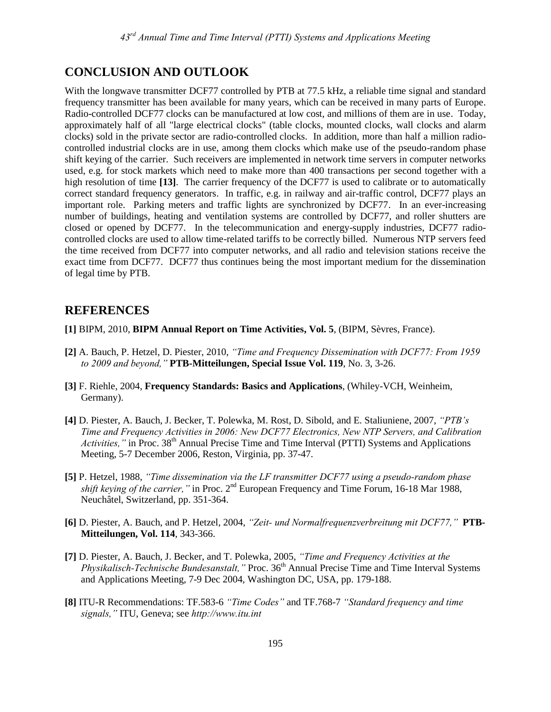## **CONCLUSION AND OUTLOOK**

With the longwave transmitter DCF77 controlled by PTB at 77.5 kHz, a reliable time signal and standard frequency transmitter has been available for many years, which can be received in many parts of Europe. Radio-controlled DCF77 clocks can be manufactured at low cost, and millions of them are in use. Today, approximately half of all "large electrical clocks" (table clocks, mounted clocks, wall clocks and alarm clocks) sold in the private sector are radio-controlled clocks. In addition, more than half a million radiocontrolled industrial clocks are in use, among them clocks which make use of the pseudo-random phase shift keying of the carrier. Such receivers are implemented in network time servers in computer networks used, e.g. for stock markets which need to make more than 400 transactions per second together with a high resolution of time **[13]**. The carrier frequency of the DCF77 is used to calibrate or to automatically correct standard frequency generators. In traffic, e.g. in railway and air-traffic control, DCF77 plays an important role. Parking meters and traffic lights are synchronized by DCF77. In an ever-increasing number of buildings, heating and ventilation systems are controlled by DCF77, and roller shutters are closed or opened by DCF77. In the telecommunication and energy-supply industries, DCF77 radiocontrolled clocks are used to allow time-related tariffs to be correctly billed. Numerous NTP servers feed the time received from DCF77 into computer networks, and all radio and television stations receive the exact time from DCF77. DCF77 thus continues being the most important medium for the dissemination of legal time by PTB.

#### **REFERENCES**

- **[1]** BIPM, 2010, **BIPM Annual Report on Time Activities, Vol. 5**, (BIPM, Sèvres, France).
- **[2]** A. Bauch, P. Hetzel, D. Piester, 2010, *"Time and Frequency Dissemination with DCF77: From 1959 to 2009 and beyond,"* **PTB-Mitteilungen, Special Issue Vol. 119**, No. 3, 3-26.
- **[3]** F. Riehle, 2004, **Frequency Standards: Basics and Applications**, (Whiley-VCH, Weinheim, Germany).
- **[4]** D. Piester, A. Bauch, J. Becker, T. Polewka, M. Rost, D. Sibold, and E. Staliuniene, 2007, *"PTB's Time and Frequency Activities in 2006: New DCF77 Electronics, New NTP Servers, and Calibration Activities,*" in Proc. 38<sup>th</sup> Annual Precise Time and Time Interval (PTTI) Systems and Applications Meeting, 5-7 December 2006, Reston, Virginia, pp. 37-47.
- **[5]** P. Hetzel, 1988, *"Time dissemination via the LF transmitter DCF77 using a pseudo-random phase shift keying of the carrier,*" in Proc. 2<sup>nd</sup> European Frequency and Time Forum, 16-18 Mar 1988, Neuchâtel, Switzerland, pp. 351-364.
- **[6]** D. Piester, A. Bauch, and P. Hetzel, 2004, *"Zeit- und Normalfrequenzverbreitung mit DCF77,"* **PTB-Mitteilungen, Vol. 114**, 343-366.
- **[7]** D. Piester, A. Bauch, J. Becker, and T. Polewka, 2005, *"Time and Frequency Activities at the Physikalisch-Technische Bundesanstalt,* " Proc. 36<sup>th</sup> Annual Precise Time and Time Interval Systems and Applications Meeting, 7-9 Dec 2004, Washington DC, USA, pp. 179-188.
- **[8]** ITU-R Recommendations: TF.583-6 *"Time Codes"* and TF.768-7 *"Standard frequency and time signals,"* ITU, Geneva; see *http://www.itu.int*